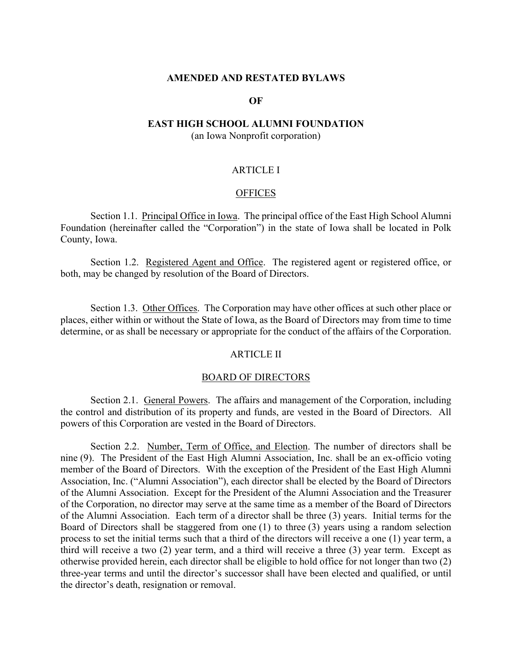### **AMENDED AND RESTATED BYLAWS**

#### **OF**

# **EAST HIGH SCHOOL ALUMNI FOUNDATION**

(an Iowa Nonprofit corporation)

# ARTICLE I

#### **OFFICES**

Section 1.1. Principal Office in Iowa. The principal office of the East High School Alumni Foundation (hereinafter called the "Corporation") in the state of Iowa shall be located in Polk County, Iowa.

Section 1.2. Registered Agent and Office. The registered agent or registered office, or both, may be changed by resolution of the Board of Directors.

Section 1.3. Other Offices. The Corporation may have other offices at such other place or places, either within or without the State of Iowa, as the Board of Directors may from time to time determine, or as shall be necessary or appropriate for the conduct of the affairs of the Corporation.

# ARTICLE II

## BOARD OF DIRECTORS

Section 2.1. General Powers. The affairs and management of the Corporation, including the control and distribution of its property and funds, are vested in the Board of Directors. All powers of this Corporation are vested in the Board of Directors.

Section 2.2. Number, Term of Office, and Election. The number of directors shall be nine (9). The President of the East High Alumni Association, Inc. shall be an ex-officio voting member of the Board of Directors. With the exception of the President of the East High Alumni Association, Inc. ("Alumni Association"), each director shall be elected by the Board of Directors of the Alumni Association. Except for the President of the Alumni Association and the Treasurer of the Corporation, no director may serve at the same time as a member of the Board of Directors of the Alumni Association. Each term of a director shall be three (3) years. Initial terms for the Board of Directors shall be staggered from one (1) to three (3) years using a random selection process to set the initial terms such that a third of the directors will receive a one (1) year term, a third will receive a two (2) year term, and a third will receive a three (3) year term. Except as otherwise provided herein, each director shall be eligible to hold office for not longer than two (2) three-year terms and until the director's successor shall have been elected and qualified, or until the director's death, resignation or removal.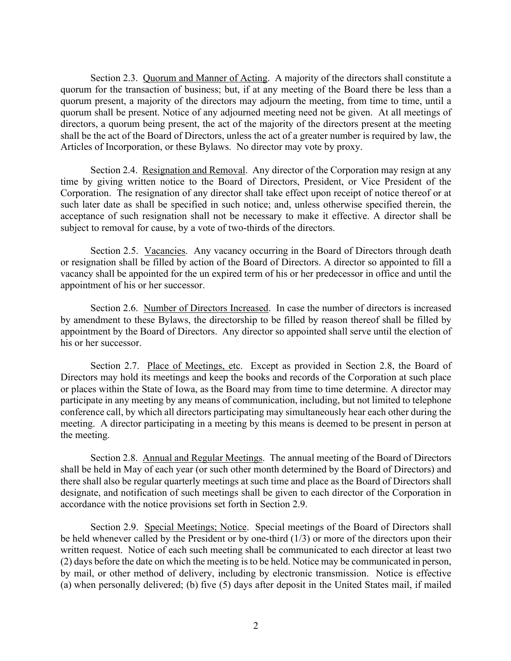Section 2.3. Quorum and Manner of Acting. A majority of the directors shall constitute a quorum for the transaction of business; but, if at any meeting of the Board there be less than a quorum present, a majority of the directors may adjourn the meeting, from time to time, until a quorum shall be present. Notice of any adjourned meeting need not be given. At all meetings of directors, a quorum being present, the act of the majority of the directors present at the meeting shall be the act of the Board of Directors, unless the act of a greater number is required by law, the Articles of Incorporation, or these Bylaws. No director may vote by proxy.

Section 2.4. Resignation and Removal. Any director of the Corporation may resign at any time by giving written notice to the Board of Directors, President, or Vice President of the Corporation. The resignation of any director shall take effect upon receipt of notice thereof or at such later date as shall be specified in such notice; and, unless otherwise specified therein, the acceptance of such resignation shall not be necessary to make it effective. A director shall be subject to removal for cause, by a vote of two-thirds of the directors.

Section 2.5. Vacancies. Any vacancy occurring in the Board of Directors through death or resignation shall be filled by action of the Board of Directors. A director so appointed to fill a vacancy shall be appointed for the un expired term of his or her predecessor in office and until the appointment of his or her successor.

Section 2.6. Number of Directors Increased. In case the number of directors is increased by amendment to these Bylaws, the directorship to be filled by reason thereof shall be filled by appointment by the Board of Directors. Any director so appointed shall serve until the election of his or her successor.

Section 2.7. Place of Meetings, etc. Except as provided in Section 2.8, the Board of Directors may hold its meetings and keep the books and records of the Corporation at such place or places within the State of Iowa, as the Board may from time to time determine. A director may participate in any meeting by any means of communication, including, but not limited to telephone conference call, by which all directors participating may simultaneously hear each other during the meeting. A director participating in a meeting by this means is deemed to be present in person at the meeting.

Section 2.8. Annual and Regular Meetings. The annual meeting of the Board of Directors shall be held in May of each year (or such other month determined by the Board of Directors) and there shall also be regular quarterly meetings at such time and place as the Board of Directors shall designate, and notification of such meetings shall be given to each director of the Corporation in accordance with the notice provisions set forth in Section 2.9.

Section 2.9. Special Meetings; Notice. Special meetings of the Board of Directors shall be held whenever called by the President or by one-third (1/3) or more of the directors upon their written request. Notice of each such meeting shall be communicated to each director at least two (2) days before the date on which the meeting is to be held. Notice may be communicated in person, by mail, or other method of delivery, including by electronic transmission. Notice is effective (a) when personally delivered; (b) five (5) days after deposit in the United States mail, if mailed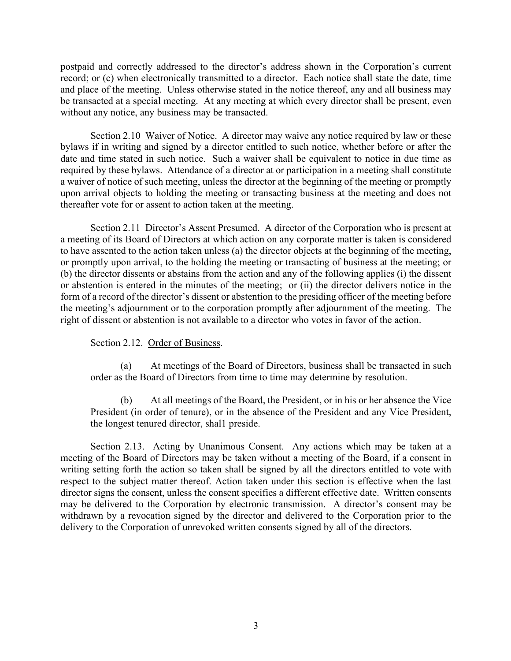postpaid and correctly addressed to the director's address shown in the Corporation's current record; or (c) when electronically transmitted to a director. Each notice shall state the date, time and place of the meeting. Unless otherwise stated in the notice thereof, any and all business may be transacted at a special meeting. At any meeting at which every director shall be present, even without any notice, any business may be transacted.

Section 2.10 Waiver of Notice. A director may waive any notice required by law or these bylaws if in writing and signed by a director entitled to such notice, whether before or after the date and time stated in such notice. Such a waiver shall be equivalent to notice in due time as required by these bylaws. Attendance of a director at or participation in a meeting shall constitute a waiver of notice of such meeting, unless the director at the beginning of the meeting or promptly upon arrival objects to holding the meeting or transacting business at the meeting and does not thereafter vote for or assent to action taken at the meeting.

Section 2.11 Director's Assent Presumed. A director of the Corporation who is present at a meeting of its Board of Directors at which action on any corporate matter is taken is considered to have assented to the action taken unless (a) the director objects at the beginning of the meeting, or promptly upon arrival, to the holding the meeting or transacting of business at the meeting; or (b) the director dissents or abstains from the action and any of the following applies (i) the dissent or abstention is entered in the minutes of the meeting; or (ii) the director delivers notice in the form of a record of the director's dissent or abstention to the presiding officer of the meeting before the meeting's adjournment or to the corporation promptly after adjournment of the meeting. The right of dissent or abstention is not available to a director who votes in favor of the action.

# Section 2.12. Order of Business.

(a) At meetings of the Board of Directors, business shall be transacted in such order as the Board of Directors from time to time may determine by resolution.

At all meetings of the Board, the President, or in his or her absence the Vice President (in order of tenure), or in the absence of the President and any Vice President, the longest tenured director, shal1 preside.

Section 2.13. Acting by Unanimous Consent. Any actions which may be taken at a meeting of the Board of Directors may be taken without a meeting of the Board, if a consent in writing setting forth the action so taken shall be signed by all the directors entitled to vote with respect to the subject matter thereof. Action taken under this section is effective when the last director signs the consent, unless the consent specifies a different effective date. Written consents may be delivered to the Corporation by electronic transmission. A director's consent may be withdrawn by a revocation signed by the director and delivered to the Corporation prior to the delivery to the Corporation of unrevoked written consents signed by all of the directors.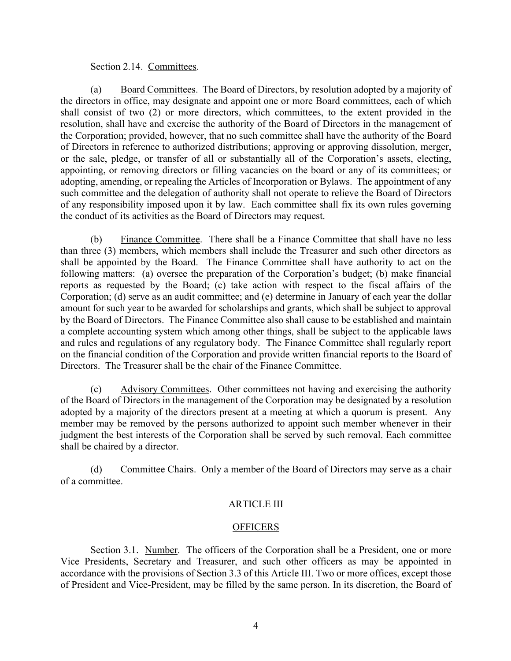# Section 2.14. Committees.

(a) Board Committees. The Board of Directors, by resolution adopted by a majority of the directors in office, may designate and appoint one or more Board committees, each of which shall consist of two (2) or more directors, which committees, to the extent provided in the resolution, shall have and exercise the authority of the Board of Directors in the management of the Corporation; provided, however, that no such committee shall have the authority of the Board of Directors in reference to authorized distributions; approving or approving dissolution, merger, or the sale, pledge, or transfer of all or substantially all of the Corporation's assets, electing, appointing, or removing directors or filling vacancies on the board or any of its committees; or adopting, amending, or repealing the Articles of Incorporation or Bylaws. The appointment of any such committee and the delegation of authority shall not operate to relieve the Board of Directors of any responsibility imposed upon it by law. Each committee shall fix its own rules governing the conduct of its activities as the Board of Directors may request.

(b) Finance Committee. There shall be a Finance Committee that shall have no less than three (3) members, which members shall include the Treasurer and such other directors as shall be appointed by the Board. The Finance Committee shall have authority to act on the following matters: (a) oversee the preparation of the Corporation's budget; (b) make financial reports as requested by the Board; (c) take action with respect to the fiscal affairs of the Corporation; (d) serve as an audit committee; and (e) determine in January of each year the dollar amount for such year to be awarded for scholarships and grants, which shall be subject to approval by the Board of Directors. The Finance Committee also shall cause to be established and maintain a complete accounting system which among other things, shall be subject to the applicable laws and rules and regulations of any regulatory body. The Finance Committee shall regularly report on the financial condition of the Corporation and provide written financial reports to the Board of Directors. The Treasurer shall be the chair of the Finance Committee.

(c) Advisory Committees. Other committees not having and exercising the authority of the Board of Directors in the management of the Corporation may be designated by a resolution adopted by a majority of the directors present at a meeting at which a quorum is present. Any member may be removed by the persons authorized to appoint such member whenever in their judgment the best interests of the Corporation shall be served by such removal. Each committee shall be chaired by a director.

(d) Committee Chairs. Only a member of the Board of Directors may serve as a chair of a committee.

# ARTICLE III

# **OFFICERS**

Section 3.1. Number. The officers of the Corporation shall be a President, one or more Vice Presidents, Secretary and Treasurer, and such other officers as may be appointed in accordance with the provisions of Section 3.3 of this Article III. Two or more offices, except those of President and Vice-President, may be filled by the same person. In its discretion, the Board of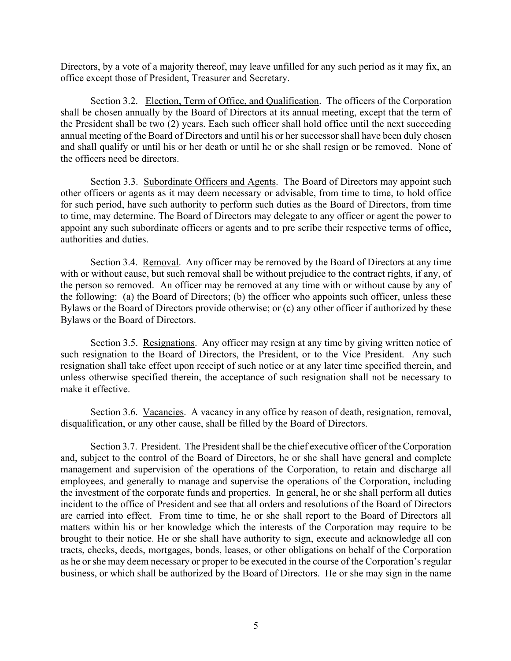Directors, by a vote of a majority thereof, may leave unfilled for any such period as it may fix, an office except those of President, Treasurer and Secretary.

Section 3.2. Election, Term of Office, and Qualification. The officers of the Corporation shall be chosen annually by the Board of Directors at its annual meeting, except that the term of the President shall be two (2) years. Each such officer shall hold office until the next succeeding annual meeting of the Board of Directors and until his or her successor shall have been duly chosen and shall qualify or until his or her death or until he or she shall resign or be removed. None of the officers need be directors.

Section 3.3. Subordinate Officers and Agents. The Board of Directors may appoint such other officers or agents as it may deem necessary or advisable, from time to time, to hold office for such period, have such authority to perform such duties as the Board of Directors, from time to time, may determine. The Board of Directors may delegate to any officer or agent the power to appoint any such subordinate officers or agents and to pre scribe their respective terms of office, authorities and duties.

Section 3.4. Removal. Any officer may be removed by the Board of Directors at any time with or without cause, but such removal shall be without prejudice to the contract rights, if any, of the person so removed. An officer may be removed at any time with or without cause by any of the following: (a) the Board of Directors; (b) the officer who appoints such officer, unless these Bylaws or the Board of Directors provide otherwise; or (c) any other officer if authorized by these Bylaws or the Board of Directors.

Section 3.5. Resignations. Any officer may resign at any time by giving written notice of such resignation to the Board of Directors, the President, or to the Vice President. Any such resignation shall take effect upon receipt of such notice or at any later time specified therein, and unless otherwise specified therein, the acceptance of such resignation shall not be necessary to make it effective.

Section 3.6. Vacancies. A vacancy in any office by reason of death, resignation, removal, disqualification, or any other cause, shall be filled by the Board of Directors.

Section 3.7. President. The President shall be the chief executive officer of the Corporation and, subject to the control of the Board of Directors, he or she shall have general and complete management and supervision of the operations of the Corporation, to retain and discharge all employees, and generally to manage and supervise the operations of the Corporation, including the investment of the corporate funds and properties. In general, he or she shall perform all duties incident to the office of President and see that all orders and resolutions of the Board of Directors are carried into effect. From time to time, he or she shall report to the Board of Directors all matters within his or her knowledge which the interests of the Corporation may require to be brought to their notice. He or she shall have authority to sign, execute and acknowledge all con tracts, checks, deeds, mortgages, bonds, leases, or other obligations on behalf of the Corporation as he or she may deem necessary or proper to be executed in the course of the Corporation's regular business, or which shall be authorized by the Board of Directors. He or she may sign in the name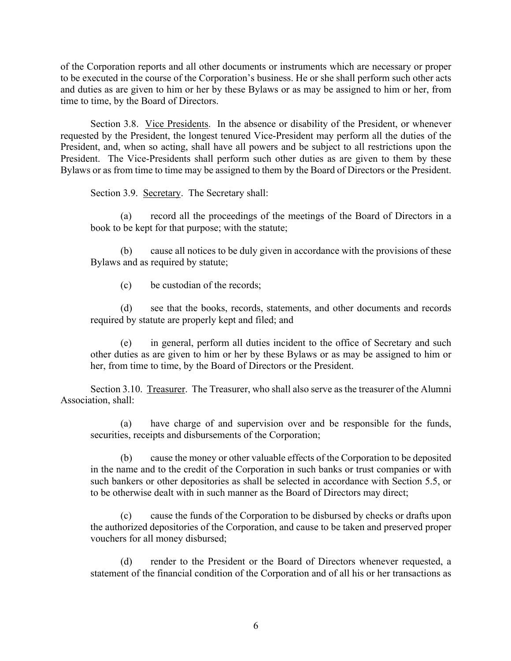of the Corporation reports and all other documents or instruments which are necessary or proper to be executed in the course of the Corporation's business. He or she shall perform such other acts and duties as are given to him or her by these Bylaws or as may be assigned to him or her, from time to time, by the Board of Directors.

Section 3.8. Vice Presidents. In the absence or disability of the President, or whenever requested by the President, the longest tenured Vice-President may perform all the duties of the President, and, when so acting, shall have all powers and be subject to all restrictions upon the President. The Vice-Presidents shall perform such other duties as are given to them by these Bylaws or as from time to time may be assigned to them by the Board of Directors or the President.

Section 3.9. Secretary. The Secretary shall:

(a) record all the proceedings of the meetings of the Board of Directors in a book to be kept for that purpose; with the statute;

(b) cause all notices to be duly given in accordance with the provisions of these Bylaws and as required by statute;

(c) be custodian of the records;

(d) see that the books, records, statements, and other documents and records required by statute are properly kept and filed; and

(e) in general, perform all duties incident to the office of Secretary and such other duties as are given to him or her by these Bylaws or as may be assigned to him or her, from time to time, by the Board of Directors or the President.

Section 3.10. Treasurer. The Treasurer, who shall also serve as the treasurer of the Alumni Association, shall:

(a) have charge of and supervision over and be responsible for the funds, securities, receipts and disbursements of the Corporation;

(b) cause the money or other valuable effects of the Corporation to be deposited in the name and to the credit of the Corporation in such banks or trust companies or with such bankers or other depositories as shall be selected in accordance with Section 5.5, or to be otherwise dealt with in such manner as the Board of Directors may direct;

(c) cause the funds of the Corporation to be disbursed by checks or drafts upon the authorized depositories of the Corporation, and cause to be taken and preserved proper vouchers for all money disbursed;

(d) render to the President or the Board of Directors whenever requested, a statement of the financial condition of the Corporation and of all his or her transactions as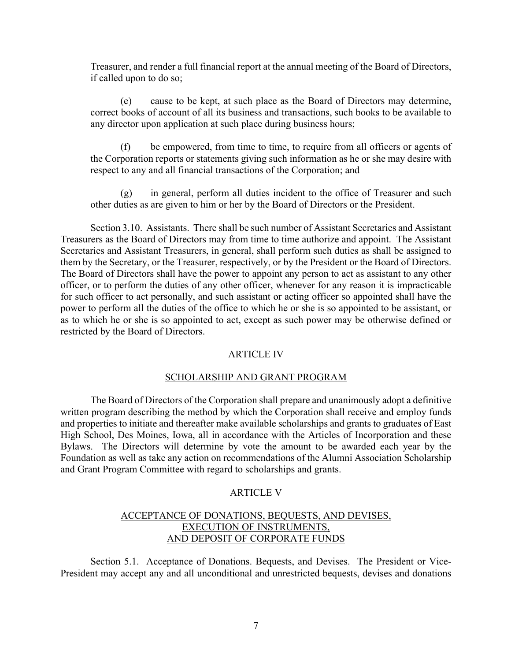Treasurer, and render a full financial report at the annual meeting of the Board of Directors, if called upon to do so;

(e) cause to be kept, at such place as the Board of Directors may determine, correct books of account of all its business and transactions, such books to be available to any director upon application at such place during business hours;

(f) be empowered, from time to time, to require from all officers or agents of the Corporation reports or statements giving such information as he or she may desire with respect to any and all financial transactions of the Corporation; and

(g) in general, perform all duties incident to the office of Treasurer and such other duties as are given to him or her by the Board of Directors or the President.

Section 3.10. Assistants. There shall be such number of Assistant Secretaries and Assistant Treasurers as the Board of Directors may from time to time authorize and appoint. The Assistant Secretaries and Assistant Treasurers, in general, shall perform such duties as shall be assigned to them by the Secretary, or the Treasurer, respectively, or by the President or the Board of Directors. The Board of Directors shall have the power to appoint any person to act as assistant to any other officer, or to perform the duties of any other officer, whenever for any reason it is impracticable for such officer to act personally, and such assistant or acting officer so appointed shall have the power to perform all the duties of the office to which he or she is so appointed to be assistant, or as to which he or she is so appointed to act, except as such power may be otherwise defined or restricted by the Board of Directors.

#### ARTICLE IV

# SCHOLARSHIP AND GRANT PROGRAM

The Board of Directors of the Corporation shall prepare and unanimously adopt a definitive written program describing the method by which the Corporation shall receive and employ funds and properties to initiate and thereafter make available scholarships and grants to graduates of East High School, Des Moines, Iowa, all in accordance with the Articles of Incorporation and these Bylaws. The Directors will determine by vote the amount to be awarded each year by the Foundation as well as take any action on recommendations of the Alumni Association Scholarship and Grant Program Committee with regard to scholarships and grants.

## ARTICLE V

# ACCEPTANCE OF DONATIONS, BEQUESTS, AND DEVISES, EXECUTION OF INSTRUMENTS, AND DEPOSIT OF CORPORATE FUNDS

Section 5.1. Acceptance of Donations. Bequests, and Devises. The President or Vice-President may accept any and all unconditional and unrestricted bequests, devises and donations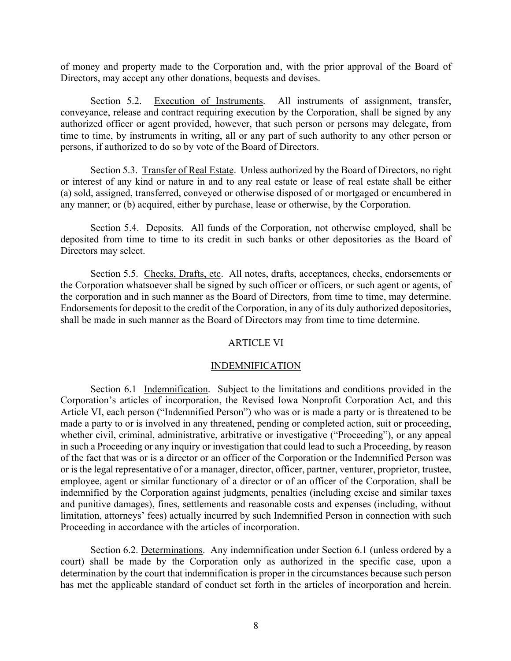of money and property made to the Corporation and, with the prior approval of the Board of Directors, may accept any other donations, bequests and devises.

Section 5.2. Execution of Instruments. All instruments of assignment, transfer, conveyance, release and contract requiring execution by the Corporation, shall be signed by any authorized officer or agent provided, however, that such person or persons may delegate, from time to time, by instruments in writing, all or any part of such authority to any other person or persons, if authorized to do so by vote of the Board of Directors.

Section 5.3. Transfer of Real Estate. Unless authorized by the Board of Directors, no right or interest of any kind or nature in and to any real estate or lease of real estate shall be either (a) sold, assigned, transferred, conveyed or otherwise disposed of or mortgaged or encumbered in any manner; or (b) acquired, either by purchase, lease or otherwise, by the Corporation.

Section 5.4. Deposits. All funds of the Corporation, not otherwise employed, shall be deposited from time to time to its credit in such banks or other depositories as the Board of Directors may select.

Section 5.5. Checks, Drafts, etc. All notes, drafts, acceptances, checks, endorsements or the Corporation whatsoever shall be signed by such officer or officers, or such agent or agents, of the corporation and in such manner as the Board of Directors, from time to time, may determine. Endorsements for deposit to the credit of the Corporation, in any of its duly authorized depositories, shall be made in such manner as the Board of Directors may from time to time determine.

#### ARTICLE VI

#### INDEMNIFICATION

Section 6.1 Indemnification. Subject to the limitations and conditions provided in the Corporation's articles of incorporation, the Revised Iowa Nonprofit Corporation Act, and this Article VI, each person ("Indemnified Person") who was or is made a party or is threatened to be made a party to or is involved in any threatened, pending or completed action, suit or proceeding, whether civil, criminal, administrative, arbitrative or investigative ("Proceeding"), or any appeal in such a Proceeding or any inquiry or investigation that could lead to such a Proceeding, by reason of the fact that was or is a director or an officer of the Corporation or the Indemnified Person was or is the legal representative of or a manager, director, officer, partner, venturer, proprietor, trustee, employee, agent or similar functionary of a director or of an officer of the Corporation, shall be indemnified by the Corporation against judgments, penalties (including excise and similar taxes and punitive damages), fines, settlements and reasonable costs and expenses (including, without limitation, attorneys' fees) actually incurred by such Indemnified Person in connection with such Proceeding in accordance with the articles of incorporation.

Section 6.2. Determinations. Any indemnification under Section 6.1 (unless ordered by a court) shall be made by the Corporation only as authorized in the specific case, upon a determination by the court that indemnification is proper in the circumstances because such person has met the applicable standard of conduct set forth in the articles of incorporation and herein.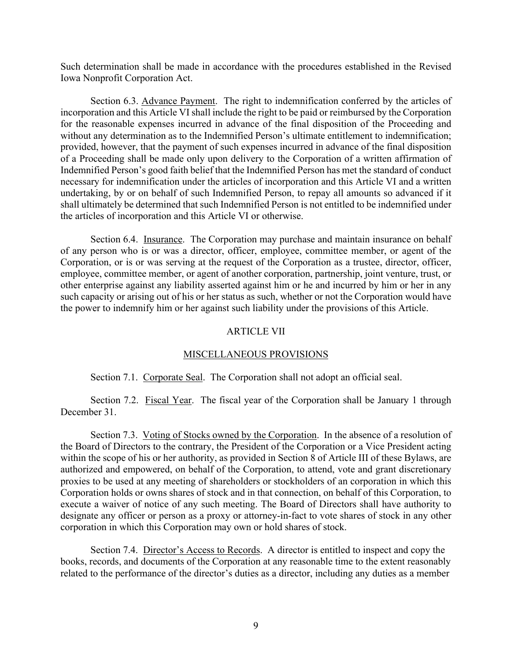Such determination shall be made in accordance with the procedures established in the Revised Iowa Nonprofit Corporation Act.

Section 6.3. Advance Payment. The right to indemnification conferred by the articles of incorporation and this Article VI shall include the right to be paid or reimbursed by the Corporation for the reasonable expenses incurred in advance of the final disposition of the Proceeding and without any determination as to the Indemnified Person's ultimate entitlement to indemnification; provided, however, that the payment of such expenses incurred in advance of the final disposition of a Proceeding shall be made only upon delivery to the Corporation of a written affirmation of Indemnified Person's good faith belief that the Indemnified Person has met the standard of conduct necessary for indemnification under the articles of incorporation and this Article VI and a written undertaking, by or on behalf of such Indemnified Person, to repay all amounts so advanced if it shall ultimately be determined that such Indemnified Person is not entitled to be indemnified under the articles of incorporation and this Article VI or otherwise.

Section 6.4. Insurance. The Corporation may purchase and maintain insurance on behalf of any person who is or was a director, officer, employee, committee member, or agent of the Corporation, or is or was serving at the request of the Corporation as a trustee, director, officer, employee, committee member, or agent of another corporation, partnership, joint venture, trust, or other enterprise against any liability asserted against him or he and incurred by him or her in any such capacity or arising out of his or her status as such, whether or not the Corporation would have the power to indemnify him or her against such liability under the provisions of this Article.

#### ARTICLE VII

### MISCELLANEOUS PROVISIONS

Section 7.1. Corporate Seal. The Corporation shall not adopt an official seal.

Section 7.2. Fiscal Year. The fiscal year of the Corporation shall be January 1 through December 31.

Section 7.3. Voting of Stocks owned by the Corporation. In the absence of a resolution of the Board of Directors to the contrary, the President of the Corporation or a Vice President acting within the scope of his or her authority, as provided in Section 8 of Article III of these Bylaws, are authorized and empowered, on behalf of the Corporation, to attend, vote and grant discretionary proxies to be used at any meeting of shareholders or stockholders of an corporation in which this Corporation holds or owns shares of stock and in that connection, on behalf of this Corporation, to execute a waiver of notice of any such meeting. The Board of Directors shall have authority to designate any officer or person as a proxy or attorney-in-fact to vote shares of stock in any other corporation in which this Corporation may own or hold shares of stock.

Section 7.4. Director's Access to Records. A director is entitled to inspect and copy the books, records, and documents of the Corporation at any reasonable time to the extent reasonably related to the performance of the director's duties as a director, including any duties as a member